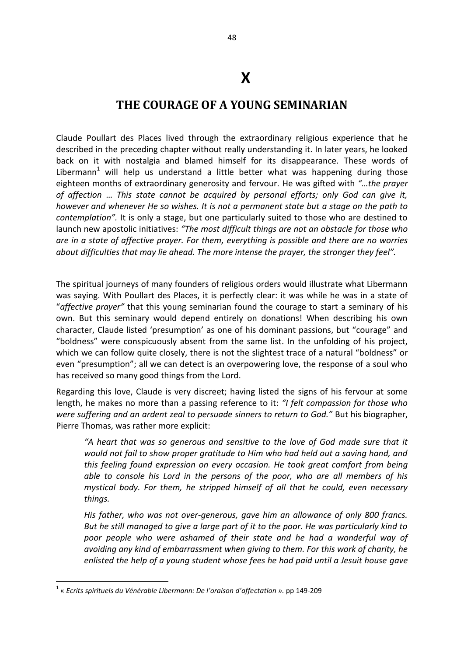## **X**

## **THE COURAGE OF A YOUNG SEMINARIAN**

Claude Poullart des Places lived through the extraordinary religious experience that he described in the preceding chapter without really understanding it. In later years, he looked back on it with nostalgia and blamed himself for its disappearance. These words of Libermann<sup>1</sup> will help us understand a little better what was happening during those eighteen months of extraordinary generosity and fervour. He was gifted with *"…the prayer of affection* … *This state cannot be acquired by personal efforts; only God can give it, however and whenever He so wishes. It is not a permanent state but a stage on the path to contemplation".* It is only a stage, but one particularly suited to those who are destined to launch new apostolic initiatives: *"The most difficult things are not an obstacle for those who are in a state of affective prayer. For them, everything is possible and there are no worries about difficulties that may lie ahead. The more intense the prayer, the stronger they feel".* 

The spiritual journeys of many founders of religious orders would illustrate what Libermann was saying. With Poullart des Places, it is perfectly clear: it was while he was in a state of "*affective prayer"* that this young seminarian found the courage to start a seminary of his own. But this seminary would depend entirely on donations! When describing his own character, Claude listed 'presumption' as one of his dominant passions, but "courage" and "boldness" were conspicuously absent from the same list. In the unfolding of his project, which we can follow quite closely, there is not the slightest trace of a natural "boldness" or even "presumption"; all we can detect is an overpowering love, the response of a soul who has received so many good things from the Lord.

Regarding this love, Claude is very discreet; having listed the signs of his fervour at some length, he makes no more than a passing reference to it: *"I felt compassion for those who were suffering and an ardent zeal to persuade sinners to return to God."* But his biographer, Pierre Thomas, was rather more explicit:

*"A heart that was so generous and sensitive to the love of God made sure that it would not fail to show proper gratitude to Him who had held out a saving hand, and this feeling found expression on every occasion. He took great comfort from being able to console his Lord in the persons of the poor, who are all members of his mystical body. For them, he stripped himself of all that he could, even necessary things.* 

*His father, who was not over-generous, gave him an allowance of only 800 francs. But he still managed to give a large part of it to the poor. He was particularly kind to poor people who were ashamed of their state and he had a wonderful way of avoiding any kind of embarrassment when giving to them. For this work of charity, he enlisted the help of a young student whose fees he had paid until a Jesuit house gave* 

**.** 

<sup>1</sup> « *Ecrits spirituels du Vénérable Libermann: De l'oraison d'affectation ».* pp 149-209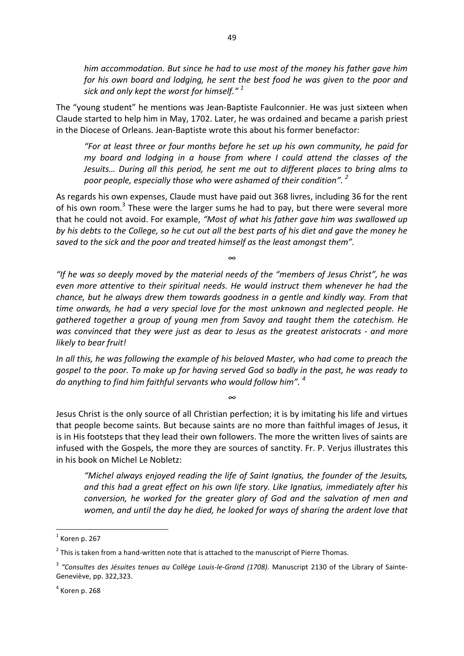*him accommodation. But since he had to use most of the money his father gave him for his own board and lodging, he sent the best food he was given to the poor and sick and only kept the worst for himself." <sup>1</sup>* 

The "young student" he mentions was Jean-Baptiste Faulconnier. He was just sixteen when Claude started to help him in May, 1702. Later, he was ordained and became a parish priest in the Diocese of Orleans. Jean-Baptiste wrote this about his former benefactor:

*"For at least three or four months before he set up his own community, he paid for my board and lodging in a house from where I could attend the classes of the Jesuits… During all this period, he sent me out to different places to bring alms to poor people, especially those who were ashamed of their condition". <sup>2</sup>* 

As regards his own expenses, Claude must have paid out 368 livres, including 36 for the rent of his own room.<sup>3</sup> These were the larger sums he had to pay, but there were several more that he could not avoid. For example, *"Most of what his father gave him was swallowed up by his debts to the College, so he cut out all the best parts of his diet and gave the money he saved to the sick and the poor and treated himself as the least amongst them".* 

∞

*"If he was so deeply moved by the material needs of the "members of Jesus Christ", he was even more attentive to their spiritual needs. He would instruct them whenever he had the chance, but he always drew them towards goodness in a gentle and kindly way. From that time onwards, he had a very special love for the most unknown and neglected people. He gathered together a group of young men from Savoy and taught them the catechism. He was convinced that they were just as dear to Jesus as the greatest aristocrats - and more likely to bear fruit!* 

*In all this, he was following the example of his beloved Master, who had come to preach the gospel to the poor. To make up for having served God so badly in the past, he was ready to do anything to find him faithful servants who would follow him". <sup>4</sup>* 

*∞*

Jesus Christ is the only source of all Christian perfection; it is by imitating his life and virtues that people become saints. But because saints are no more than faithful images of Jesus, it is in His footsteps that they lead their own followers. The more the written lives of saints are infused with the Gospels, the more they are sources of sanctity. Fr. P. Verjus illustrates this in his book on Michel Le Nobletz:

*"Michel always enjoyed reading the life of Saint Ignatius, the founder of the Jesuits, and this had a great effect on his own life story. Like Ignatius, immediately after his conversion, he worked for the greater glory of God and the salvation of men and women, and until the day he died, he looked for ways of sharing the ardent love that* 

1

 $<sup>1</sup>$  Koren p. 267</sup>

 $2$  This is taken from a hand-written note that is attached to the manuscript of Pierre Thomas.

<sup>3</sup> *"Consultes des Jésuites tenues au Collège Louis-le-Grand (1708).* Manuscript 2130 of the Library of Sainte-Geneviève, pp. 322,323.